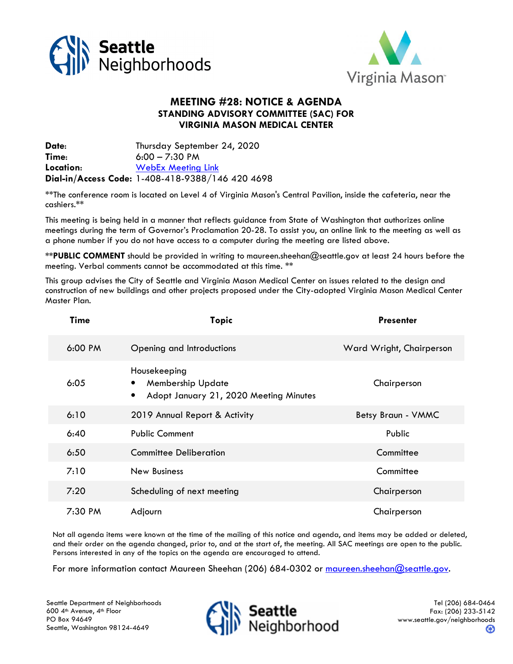



## MEETING #28: NOTICE & AGENDA STANDING ADVISORY COMMITTEE (SAC) FOR VIRGINIA MASON MEDICAL CENTER

Date: Thursday September 24, 2020 Time: 6:00 – 7:30 PM Location: WebEx Meeting Link Dial-in/Access Code: 1-408-418-9388/146 420 4698

\*\*The conference room is located on Level 4 of Virginia Mason's Central Pavilion, inside the cafeteria, near the cashiers.\*\*

This meeting is being held in a manner that reflects guidance from State of Washington that authorizes online meetings during the term of Governor's Proclamation 20-28. To assist you, an online link to the meeting as well as a phone number if you do not have access to a computer during the meeting are listed above.

\*\*PUBLIC COMMENT should be provided in writing to maureen.sheehan@seattle.gov at least 24 hours before the meeting. Verbal comments cannot be accommodated at this time. \*\*

This group advises the City of Seattle and Virginia Mason Medical Center on issues related to the design and construction of new buildings and other projects proposed under the City-adopted Virginia Mason Medical Center Master Plan.

|  | <b>Time</b> | <b>Topic</b>                                                                            | <b>Presenter</b>         |
|--|-------------|-----------------------------------------------------------------------------------------|--------------------------|
|  | 6:00 PM     | Opening and Introductions                                                               | Ward Wright, Chairperson |
|  | 6:05        | Housekeeping<br><b>Membership Update</b><br>Adopt January 21, 2020 Meeting Minutes<br>٠ | Chairperson              |
|  | 6:10        | 2019 Annual Report & Activity                                                           | Betsy Braun - VMMC       |
|  | 6:40        | <b>Public Comment</b>                                                                   | Public                   |
|  | 6:50        | <b>Committee Deliberation</b>                                                           | Committee                |
|  | 7:10        | New Business                                                                            | Committee                |
|  | 7:20        | Scheduling of next meeting                                                              | Chairperson              |
|  | 7:30 PM     | Adjourn                                                                                 | Chairperson              |

Not all agenda items were known at the time of the mailing of this notice and agenda, and items may be added or deleted, and their order on the agenda changed, prior to, and at the start of, the meeting. All SAC meetings are open to the public. Persons interested in any of the topics on the agenda are encouraged to attend.

For more information contact Maureen Sheehan (206) 684-0302 or maureen.sheehan@seattle.gov.